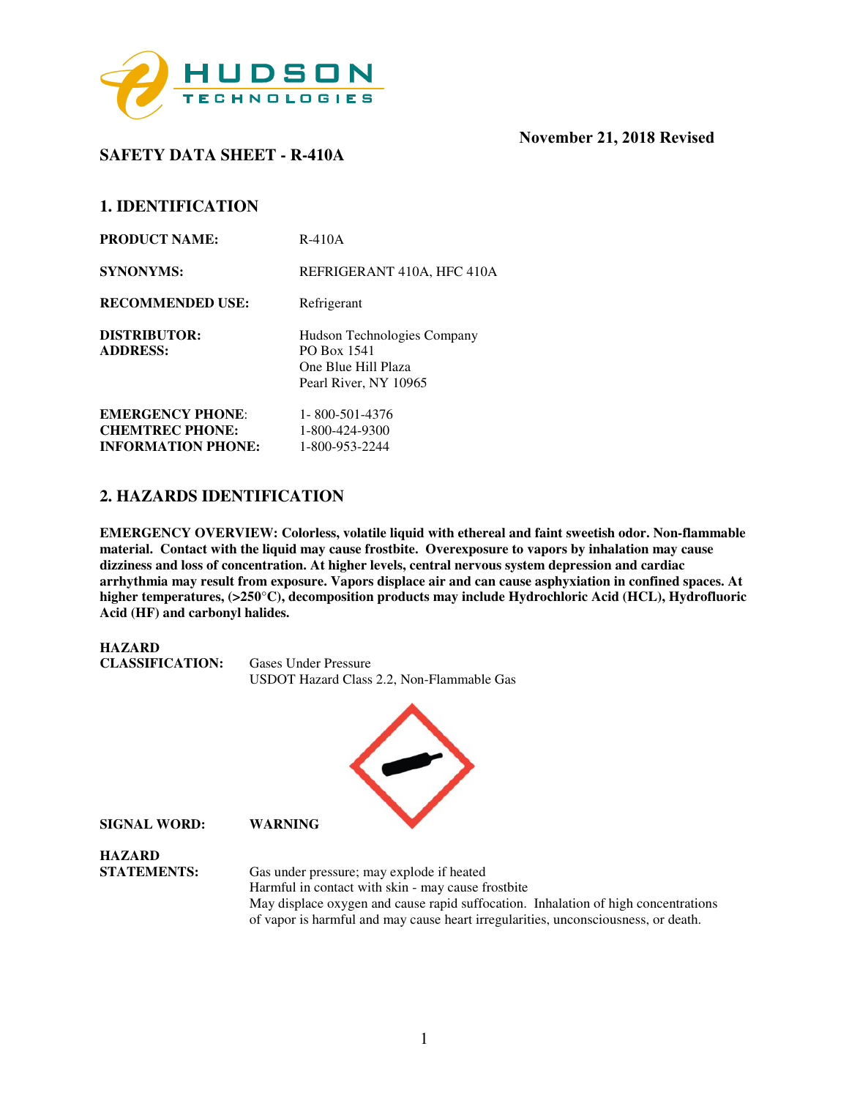

# **SAFETY DATA SHEET - R-410A**

## **1. IDENTIFICATION**

| <b>PRODUCT NAME:</b>                                | $R-410A$                                                                                   |
|-----------------------------------------------------|--------------------------------------------------------------------------------------------|
| <b>SYNONYMS:</b>                                    | REFRIGERANT 410A, HFC 410A                                                                 |
| <b>RECOMMENDED USE:</b>                             | Refrigerant                                                                                |
| DISTRIBUTOR:<br><b>ADDRESS:</b>                     | Hudson Technologies Company<br>PO Box 1541<br>One Blue Hill Plaza<br>Pearl River, NY 10965 |
| <b>EMERGENCY PHONE:</b>                             | 1-800-501-4376                                                                             |
| <b>CHEMTREC PHONE:</b><br><b>INFORMATION PHONE:</b> | 1-800-424-9300<br>1-800-953-2244                                                           |

## **2. HAZARDS IDENTIFICATION**

**EMERGENCY OVERVIEW: Colorless, volatile liquid with ethereal and faint sweetish odor. Non-flammable material. Contact with the liquid may cause frostbite. Overexposure to vapors by inhalation may cause dizziness and loss of concentration. At higher levels, central nervous system depression and cardiac arrhythmia may result from exposure. Vapors displace air and can cause asphyxiation in confined spaces. At higher temperatures, (>250**°**C), decomposition products may include Hydrochloric Acid (HCL), Hydrofluoric Acid (HF) and carbonyl halides.** 

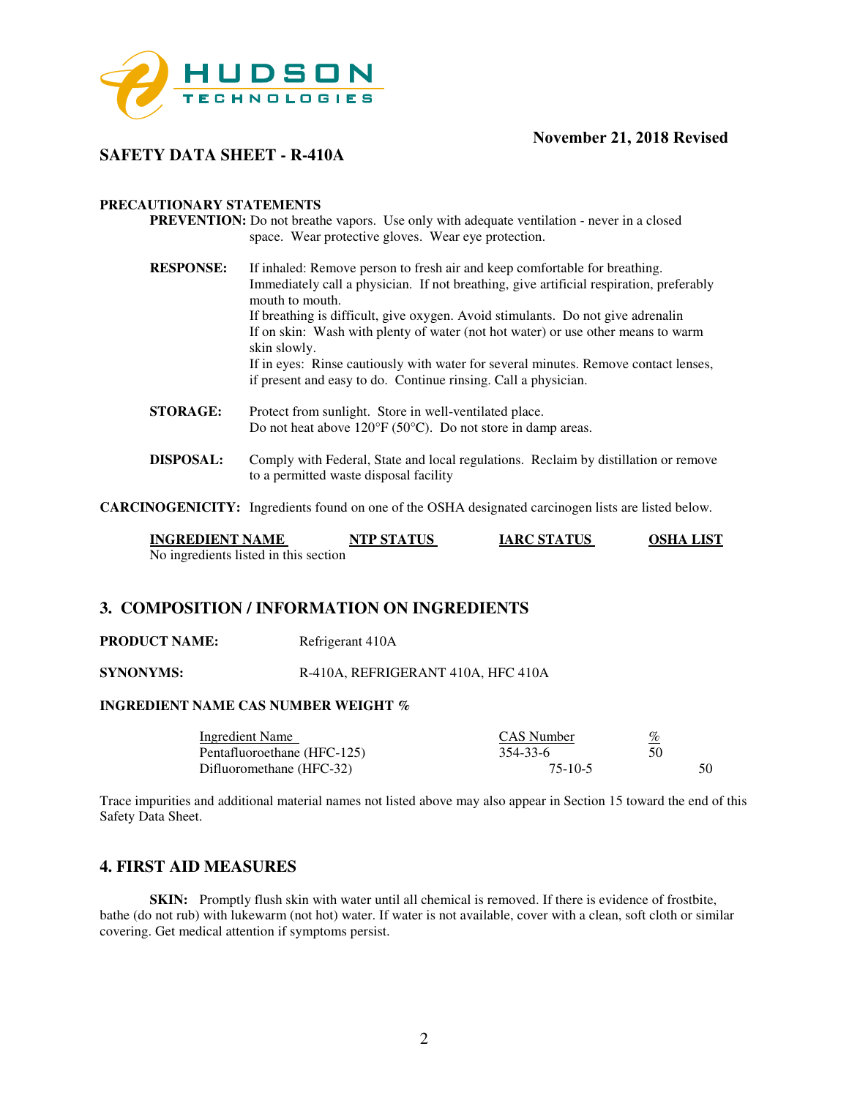

## **SAFETY DATA SHEET - R-410A**

#### **PRECAUTIONARY STATEMENTS**

- **PREVENTION:** Do not breathe vapors. Use only with adequate ventilation never in a closed space. Wear protective gloves. Wear eye protection.
- **RESPONSE:** If inhaled: Remove person to fresh air and keep comfortable for breathing. Immediately call a physician. If not breathing, give artificial respiration, preferably mouth to mouth. If breathing is difficult, give oxygen. Avoid stimulants. Do not give adrenalin If on skin: Wash with plenty of water (not hot water) or use other means to warm skin slowly. If in eyes: Rinse cautiously with water for several minutes. Remove contact lenses, if present and easy to do. Continue rinsing. Call a physician.
- **STORAGE:** Protect from sunlight. Store in well-ventilated place. Do not heat above 120°F (50°C). Do not store in damp areas.
- **DISPOSAL:** Comply with Federal, State and local regulations. Reclaim by distillation or remove to a permitted waste disposal facility

**CARCINOGENICITY:** Ingredients found on one of the OSHA designated carcinogen lists are listed below.

| <b>INGREDIENT NAME</b>                | NTP STATUS | <b>IARC STATUS</b> | <b>OSHA LIST</b> |
|---------------------------------------|------------|--------------------|------------------|
| No ingredients listed in this section |            |                    |                  |

#### **3. COMPOSITION / INFORMATION ON INGREDIENTS**

**PRODUCT NAME:** Refrigerant 410A

**SYNONYMS:** R-410A, REFRIGERANT 410A, HFC 410A

## **INGREDIENT NAME CAS NUMBER WEIGHT %**

| Ingredient Name             | CAS Number | %   |
|-----------------------------|------------|-----|
| Pentafluoroethane (HFC-125) | 354-33-6   | 50  |
| Difluoromethane (HFC-32)    | $75-10-5$  | 50. |

Trace impurities and additional material names not listed above may also appear in Section 15 toward the end of this Safety Data Sheet.

## **4. FIRST AID MEASURES**

**SKIN:** Promptly flush skin with water until all chemical is removed. If there is evidence of frostbite, bathe (do not rub) with lukewarm (not hot) water. If water is not available, cover with a clean, soft cloth or similar covering. Get medical attention if symptoms persist.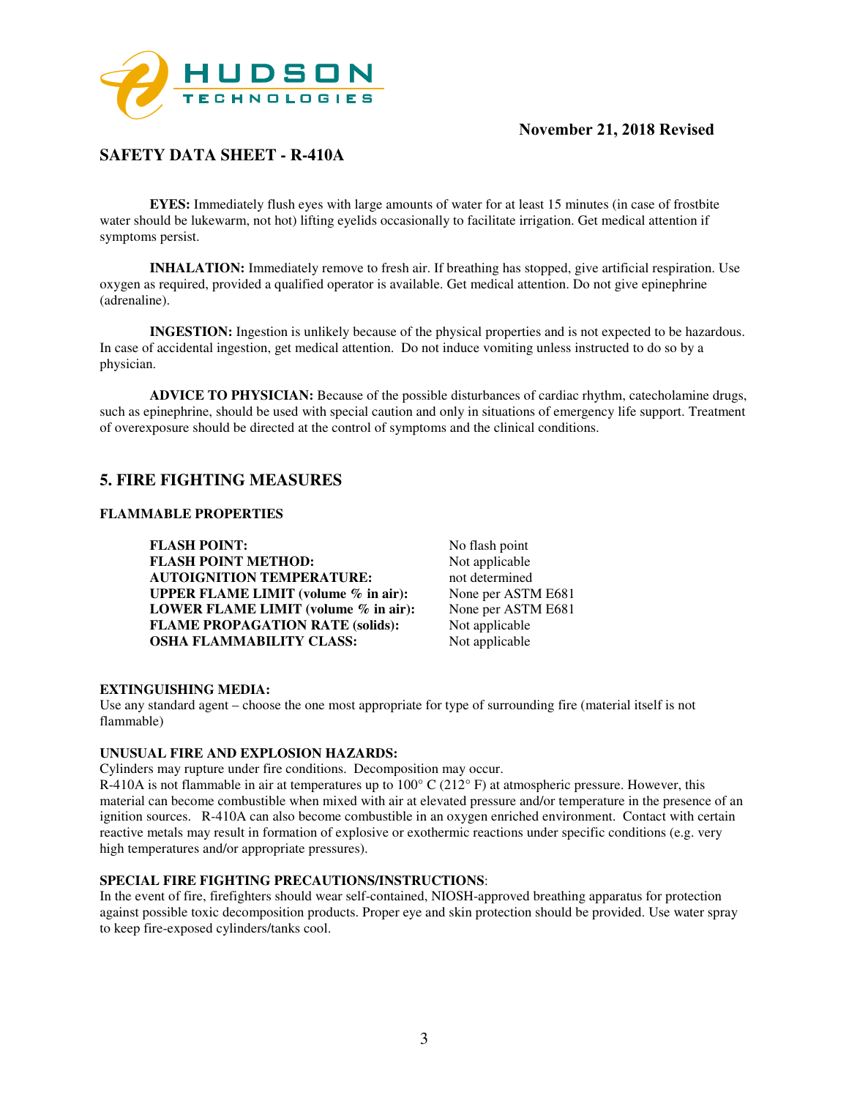

# **SAFETY DATA SHEET - R-410A**

**EYES:** Immediately flush eyes with large amounts of water for at least 15 minutes (in case of frostbite water should be lukewarm, not hot) lifting eyelids occasionally to facilitate irrigation. Get medical attention if symptoms persist.

**INHALATION:** Immediately remove to fresh air. If breathing has stopped, give artificial respiration. Use oxygen as required, provided a qualified operator is available. Get medical attention. Do not give epinephrine (adrenaline).

**INGESTION:** Ingestion is unlikely because of the physical properties and is not expected to be hazardous. In case of accidental ingestion, get medical attention. Do not induce vomiting unless instructed to do so by a physician.

**ADVICE TO PHYSICIAN:** Because of the possible disturbances of cardiac rhythm, catecholamine drugs, such as epinephrine, should be used with special caution and only in situations of emergency life support. Treatment of overexposure should be directed at the control of symptoms and the clinical conditions.

## **5. FIRE FIGHTING MEASURES**

#### **FLAMMABLE PROPERTIES**

**FLASH POINT:** No flash point<br> **FLASH POINT METHOD:** Not applicable **FLASH POINT METHOD: AUTOIGNITION TEMPERATURE:** not determined<br> **UPPER FLAME LIMIT** (volume % in air): None per ASTM E681 **UPPER FLAME LIMIT (volume % in air):** None per ASTM E681<br>**LOWER FLAME LIMIT (volume % in air):** None per ASTM E681 **LOWER FLAME LIMIT (volume % in air): FLAME PROPAGATION RATE (solids):** Not applicable **OSHA FLAMMABILITY CLASS:** Not applicable

#### **EXTINGUISHING MEDIA:**

Use any standard agent – choose the one most appropriate for type of surrounding fire (material itself is not flammable)

#### **UNUSUAL FIRE AND EXPLOSION HAZARDS:**

Cylinders may rupture under fire conditions. Decomposition may occur.

R-410A is not flammable in air at temperatures up to  $100^{\circ}$  C ( $212^{\circ}$  F) at atmospheric pressure. However, this material can become combustible when mixed with air at elevated pressure and/or temperature in the presence of an ignition sources. R-410A can also become combustible in an oxygen enriched environment. Contact with certain reactive metals may result in formation of explosive or exothermic reactions under specific conditions (e.g. very high temperatures and/or appropriate pressures).

#### **SPECIAL FIRE FIGHTING PRECAUTIONS/INSTRUCTIONS**:

In the event of fire, firefighters should wear self-contained, NIOSH-approved breathing apparatus for protection against possible toxic decomposition products. Proper eye and skin protection should be provided. Use water spray to keep fire-exposed cylinders/tanks cool.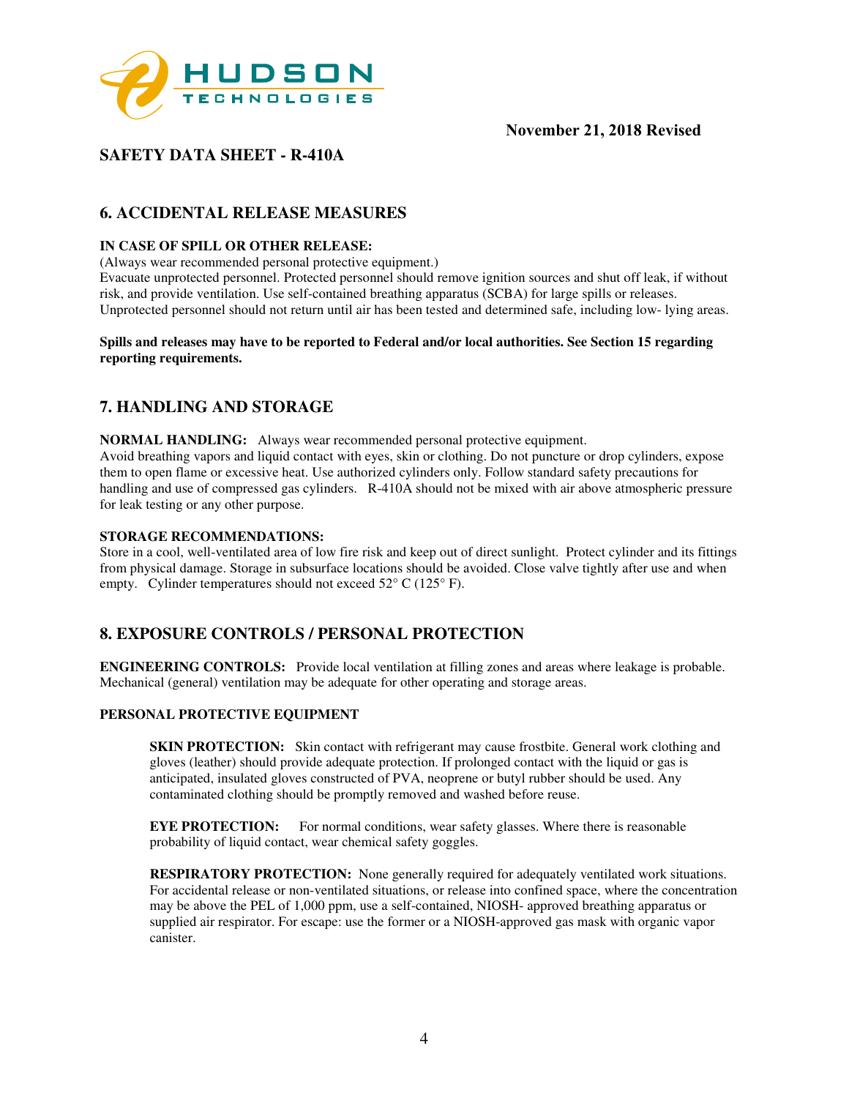

# **SAFETY DATA SHEET - R-410A**

# **6. ACCIDENTAL RELEASE MEASURES**

## **IN CASE OF SPILL OR OTHER RELEASE:**

(Always wear recommended personal protective equipment.)

Evacuate unprotected personnel. Protected personnel should remove ignition sources and shut off leak, if without risk, and provide ventilation. Use self-contained breathing apparatus (SCBA) for large spills or releases. Unprotected personnel should not return until air has been tested and determined safe, including low- lying areas.

#### **Spills and releases may have to be reported to Federal and/or local authorities. See Section 15 regarding reporting requirements.**

## **7. HANDLING AND STORAGE**

**NORMAL HANDLING:** Always wear recommended personal protective equipment. Avoid breathing vapors and liquid contact with eyes, skin or clothing. Do not puncture or drop cylinders, expose them to open flame or excessive heat. Use authorized cylinders only. Follow standard safety precautions for handling and use of compressed gas cylinders. R-410A should not be mixed with air above atmospheric pressure for leak testing or any other purpose.

#### **STORAGE RECOMMENDATIONS:**

Store in a cool, well-ventilated area of low fire risk and keep out of direct sunlight. Protect cylinder and its fittings from physical damage. Storage in subsurface locations should be avoided. Close valve tightly after use and when empty. Cylinder temperatures should not exceed  $52^{\circ}$  C (125° F).

## **8. EXPOSURE CONTROLS / PERSONAL PROTECTION**

**ENGINEERING CONTROLS:** Provide local ventilation at filling zones and areas where leakage is probable. Mechanical (general) ventilation may be adequate for other operating and storage areas.

#### **PERSONAL PROTECTIVE EQUIPMENT**

**SKIN PROTECTION:** Skin contact with refrigerant may cause frostbite. General work clothing and gloves (leather) should provide adequate protection. If prolonged contact with the liquid or gas is anticipated, insulated gloves constructed of PVA, neoprene or butyl rubber should be used. Any contaminated clothing should be promptly removed and washed before reuse.

**EYE PROTECTION:** For normal conditions, wear safety glasses. Where there is reasonable probability of liquid contact, wear chemical safety goggles.

**RESPIRATORY PROTECTION:** None generally required for adequately ventilated work situations. For accidental release or non-ventilated situations, or release into confined space, where the concentration may be above the PEL of 1,000 ppm, use a self-contained, NIOSH- approved breathing apparatus or supplied air respirator. For escape: use the former or a NIOSH-approved gas mask with organic vapor canister.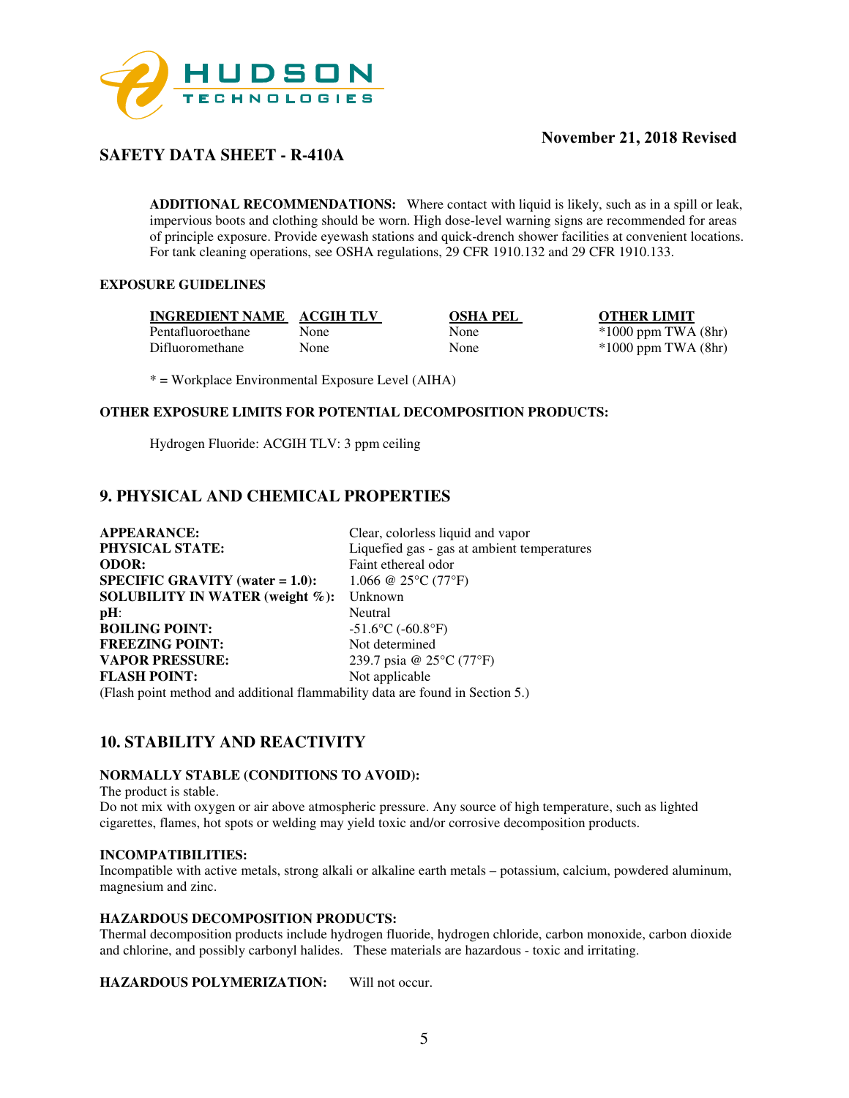

# **SAFETY DATA SHEET - R-410A**

**ADDITIONAL RECOMMENDATIONS:** Where contact with liquid is likely, such as in a spill or leak, impervious boots and clothing should be worn. High dose-level warning signs are recommended for areas of principle exposure. Provide eyewash stations and quick-drench shower facilities at convenient locations. For tank cleaning operations, see OSHA regulations, 29 CFR 1910.132 and 29 CFR 1910.133.

## **EXPOSURE GUIDELINES**

**INGREDIENT NAME ACGIH TLV OSHA PEL OTHER LIMIT** Pentafluoroethane None None \*1000 ppm TWA (8hr) Difluoromethane None None \*1000 ppm TWA (8hr)

\* = Workplace Environmental Exposure Level (AIHA)

## **OTHER EXPOSURE LIMITS FOR POTENTIAL DECOMPOSITION PRODUCTS:**

Hydrogen Fluoride: ACGIH TLV: 3 ppm ceiling

## **9. PHYSICAL AND CHEMICAL PROPERTIES**

| <b>APPEARANCE:</b>                                                            | Clear, colorless liquid and vapor                 |  |
|-------------------------------------------------------------------------------|---------------------------------------------------|--|
| PHYSICAL STATE:                                                               | Liquefied gas - gas at ambient temperatures       |  |
| <b>ODOR:</b>                                                                  | Faint ethereal odor                               |  |
| <b>SPECIFIC GRAVITY</b> (water $= 1.0$ ):                                     | 1.066 @ 25 $\rm ^{\circ}$ C (77 $\rm ^{\circ}$ F) |  |
| SOLUBILITY IN WATER (weight $\%$ ):                                           | Unknown                                           |  |
| $pH$ :                                                                        | Neutral                                           |  |
| <b>BOILING POINT:</b>                                                         | $-51.6$ °C ( $-60.8$ °F)                          |  |
| <b>FREEZING POINT:</b>                                                        | Not determined                                    |  |
| <b>VAPOR PRESSURE:</b>                                                        | 239.7 psia @ 25°C (77°F)                          |  |
| <b>FLASH POINT:</b>                                                           | Not applicable                                    |  |
| (Flash point method and additional flammability data are found in Section 5.) |                                                   |  |

# **10. STABILITY AND REACTIVITY**

# **NORMALLY STABLE (CONDITIONS TO AVOID):**

The product is stable.

Do not mix with oxygen or air above atmospheric pressure. Any source of high temperature, such as lighted cigarettes, flames, hot spots or welding may yield toxic and/or corrosive decomposition products.

#### **INCOMPATIBILITIES:**

Incompatible with active metals, strong alkali or alkaline earth metals – potassium, calcium, powdered aluminum, magnesium and zinc.

#### **HAZARDOUS DECOMPOSITION PRODUCTS:**

Thermal decomposition products include hydrogen fluoride, hydrogen chloride, carbon monoxide, carbon dioxide and chlorine, and possibly carbonyl halides. These materials are hazardous - toxic and irritating.

**HAZARDOUS POLYMERIZATION:** Will not occur.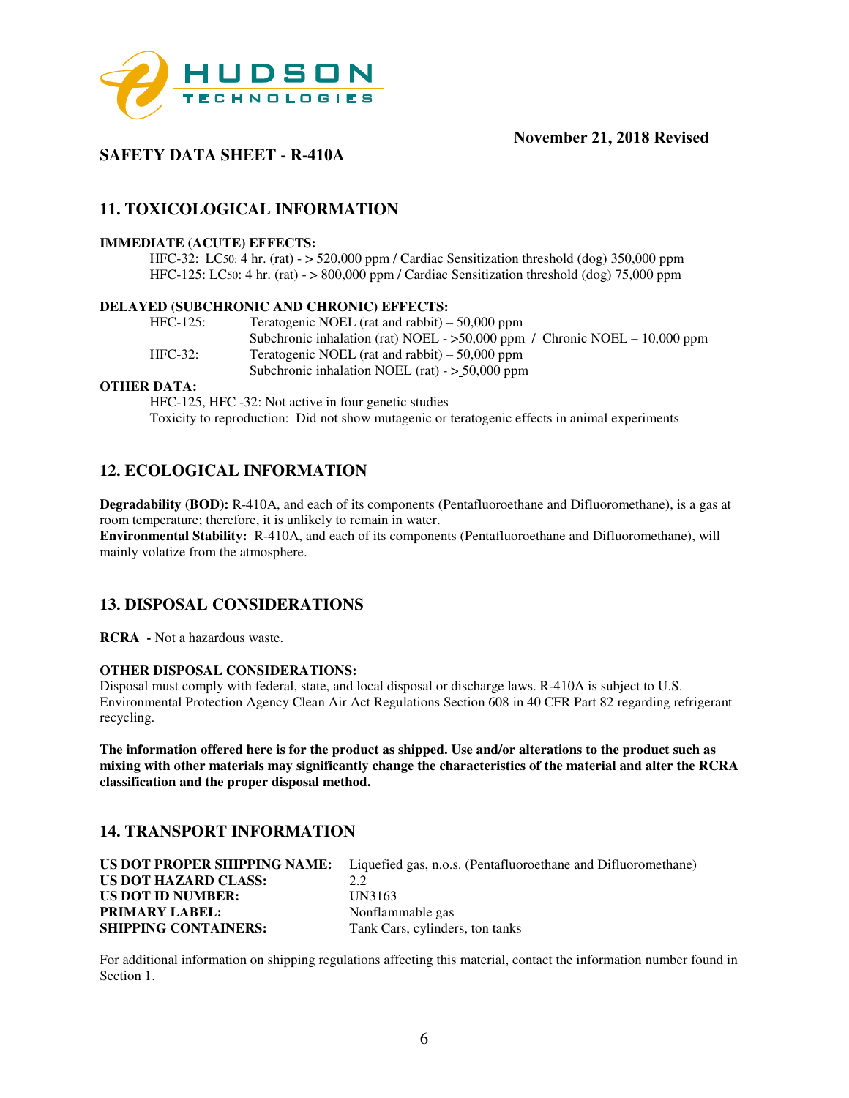

# **SAFETY DATA SHEET - R-410A**

# **11. TOXICOLOGICAL INFORMATION**

#### **IMMEDIATE (ACUTE) EFFECTS:**

HFC-32: LC50: 4 hr. (rat) - > 520,000 ppm / Cardiac Sensitization threshold (dog) 350,000 ppm HFC-125: LC50: 4 hr. (rat) - > 800,000 ppm / Cardiac Sensitization threshold (dog) 75,000 ppm

#### **DELAYED (SUBCHRONIC AND CHRONIC) EFFECTS:**

| $HFC-125$ : | Teratogenic NOEL (rat and rabbit) $-50,000$ ppm                              |
|-------------|------------------------------------------------------------------------------|
|             | Subchronic inhalation (rat) NOEL - $>50,000$ ppm / Chronic NOEL - 10,000 ppm |
| $HFC-32:$   | Teratogenic NOEL (rat and rabbit) $-50,000$ ppm                              |
|             | Subchronic inhalation NOEL (rat) $-$ > 50,000 ppm                            |

#### **OTHER DATA:**

HFC-125, HFC -32: Not active in four genetic studies Toxicity to reproduction: Did not show mutagenic or teratogenic effects in animal experiments

## **12. ECOLOGICAL INFORMATION**

**Degradability (BOD):** R-410A, and each of its components (Pentafluoroethane and Difluoromethane), is a gas at room temperature; therefore, it is unlikely to remain in water. **Environmental Stability:** R-410A, and each of its components (Pentafluoroethane and Difluoromethane), will mainly volatize from the atmosphere.

## **13. DISPOSAL CONSIDERATIONS**

**RCRA -** Not a hazardous waste.

#### **OTHER DISPOSAL CONSIDERATIONS:**

Disposal must comply with federal, state, and local disposal or discharge laws. R-410A is subject to U.S. Environmental Protection Agency Clean Air Act Regulations Section 608 in 40 CFR Part 82 regarding refrigerant recycling.

**The information offered here is for the product as shipped. Use and/or alterations to the product such as mixing with other materials may significantly change the characteristics of the material and alter the RCRA classification and the proper disposal method.** 

## **14. TRANSPORT INFORMATION**

|                             | <b>US DOT PROPER SHIPPING NAME:</b> Liquefied gas, n.o.s. (Pentafluoroethane and Difluoromethane) |
|-----------------------------|---------------------------------------------------------------------------------------------------|
| US DOT HAZARD CLASS:        | 2.2                                                                                               |
| US DOT ID NUMBER:           | UN3163                                                                                            |
| <b>PRIMARY LABEL:</b>       | Nonflammable gas                                                                                  |
| <b>SHIPPING CONTAINERS:</b> | Tank Cars, cylinders, ton tanks                                                                   |

For additional information on shipping regulations affecting this material, contact the information number found in Section 1.